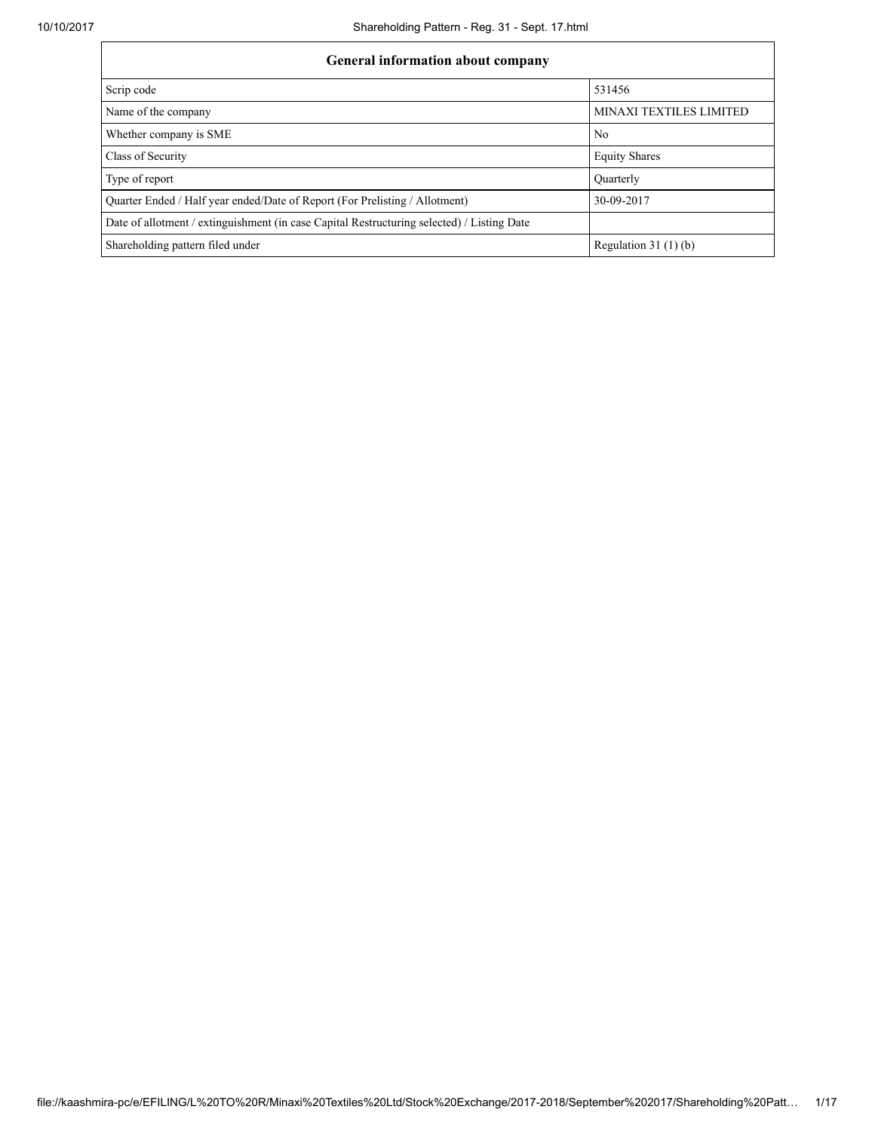| <b>General information about company</b>                                                   |                         |  |  |  |  |  |  |
|--------------------------------------------------------------------------------------------|-------------------------|--|--|--|--|--|--|
| Scrip code                                                                                 | 531456                  |  |  |  |  |  |  |
| Name of the company                                                                        | MINAXI TEXTILES LIMITED |  |  |  |  |  |  |
| Whether company is SME                                                                     | N <sub>0</sub>          |  |  |  |  |  |  |
| Class of Security                                                                          | <b>Equity Shares</b>    |  |  |  |  |  |  |
| Type of report                                                                             | Quarterly               |  |  |  |  |  |  |
| Quarter Ended / Half year ended/Date of Report (For Prelisting / Allotment)                | 30-09-2017              |  |  |  |  |  |  |
| Date of allotment / extinguishment (in case Capital Restructuring selected) / Listing Date |                         |  |  |  |  |  |  |
| Shareholding pattern filed under                                                           | Regulation 31 $(1)(b)$  |  |  |  |  |  |  |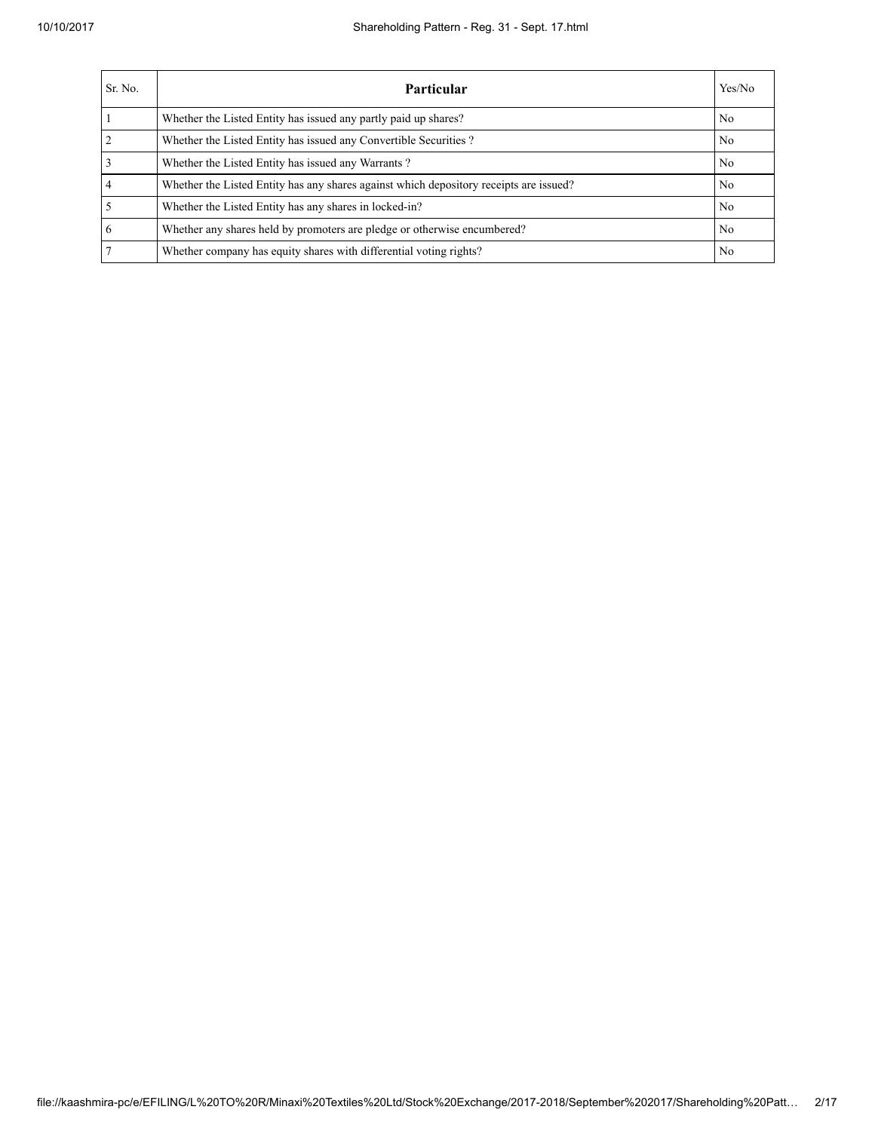| Sr. No.        | Particular                                                                             | Yes/No         |
|----------------|----------------------------------------------------------------------------------------|----------------|
|                | Whether the Listed Entity has issued any partly paid up shares?                        | N <sub>0</sub> |
| $\overline{2}$ | Whether the Listed Entity has issued any Convertible Securities?                       | N <sub>0</sub> |
| $\overline{3}$ | Whether the Listed Entity has issued any Warrants?                                     | N <sub>0</sub> |
| $\overline{4}$ | Whether the Listed Entity has any shares against which depository receipts are issued? | N <sub>0</sub> |
| 5              | Whether the Listed Entity has any shares in locked-in?                                 | N <sub>0</sub> |
| 6              | Whether any shares held by promoters are pledge or otherwise encumbered?               | N <sub>0</sub> |
| $\tau$         | Whether company has equity shares with differential voting rights?                     | N <sub>0</sub> |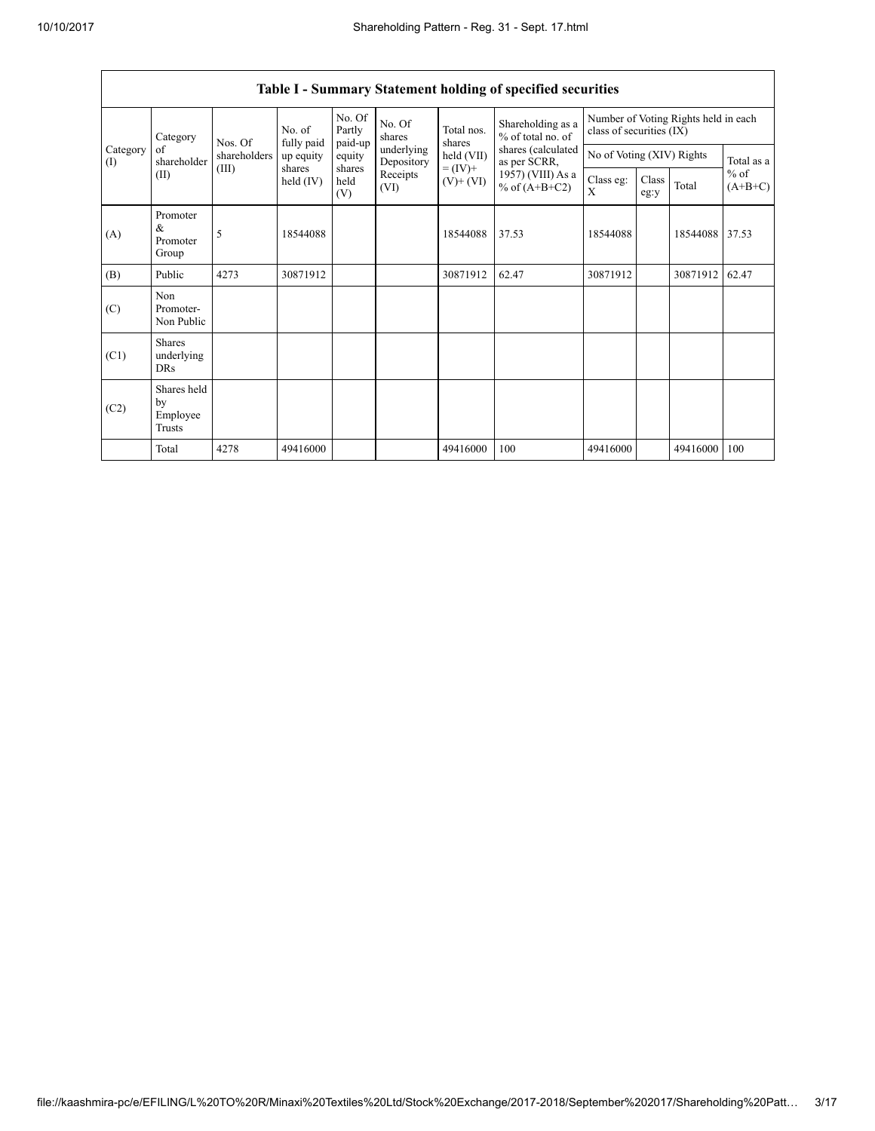| Category<br>Category<br>of<br>shareholder<br>(I)<br>(II) | Nos. Of                                   | No. of<br>fully paid | No. Of<br>Partly<br>paid-up | No. Of<br>shares         | Total nos.<br>shares | Shareholding as a<br>% of total no. of | Number of Voting Rights held in each<br>class of securities (IX) |                |               |            |                     |
|----------------------------------------------------------|-------------------------------------------|----------------------|-----------------------------|--------------------------|----------------------|----------------------------------------|------------------------------------------------------------------|----------------|---------------|------------|---------------------|
|                                                          | shareholders                              | up equity            | equity                      | underlying<br>Depository | held (VII)           | shares (calculated<br>as per SCRR,     | No of Voting (XIV) Rights                                        |                |               | Total as a |                     |
|                                                          |                                           | (III)                | shares<br>held $(IV)$       | shares<br>held<br>(V)    | Receipts<br>(VI)     | $= (IV) +$<br>$(V)$ + $(VI)$           | 1957) (VIII) As a<br>% of $(A+B+C2)$                             | Class eg:<br>X | Class<br>eg:y | Total      | $%$ of<br>$(A+B+C)$ |
| (A)                                                      | Promoter<br>&<br>Promoter<br>Group        | 5                    | 18544088                    |                          |                      | 18544088                               | 37.53                                                            | 18544088       |               | 18544088   | 37.53               |
| (B)                                                      | Public                                    | 4273                 | 30871912                    |                          |                      | 30871912                               | 62.47                                                            | 30871912       |               | 30871912   | 62.47               |
| (C)                                                      | Non<br>Promoter-<br>Non Public            |                      |                             |                          |                      |                                        |                                                                  |                |               |            |                     |
| (C1)                                                     | <b>Shares</b><br>underlying<br><b>DRs</b> |                      |                             |                          |                      |                                        |                                                                  |                |               |            |                     |
| (C2)                                                     | Shares held<br>by<br>Employee<br>Trusts   |                      |                             |                          |                      |                                        |                                                                  |                |               |            |                     |
|                                                          | Total                                     | 4278                 | 49416000                    |                          |                      | 49416000                               | 100                                                              | 49416000       |               | 49416000   | 100                 |

## Table I - Summary Statement holding of specified securities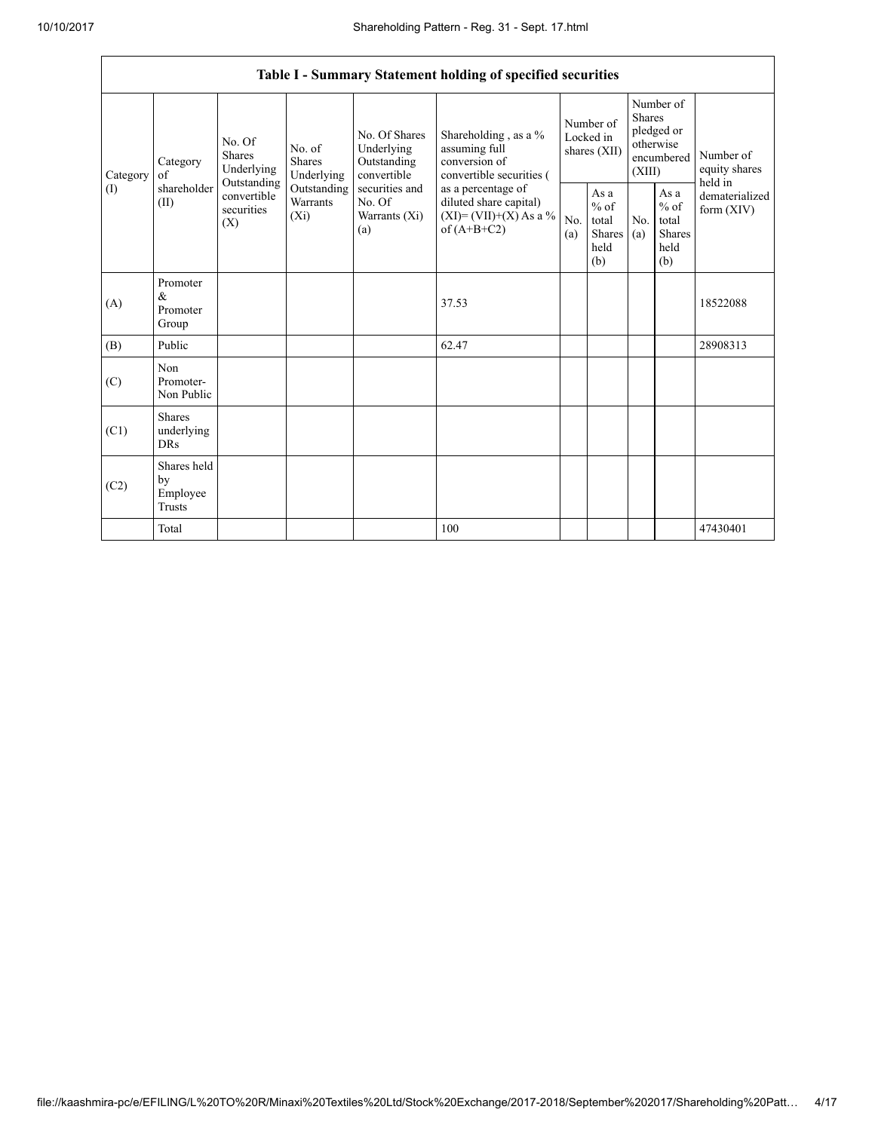$\overline{\phantom{0}}$ 

|          | Table I - Summary Statement holding of specified securities                                                                                                                                                                                                                                                                                                                                                                                                                           |            |                                                  |            |                                                         |                                        |  |                                                                               |  |                                       |
|----------|---------------------------------------------------------------------------------------------------------------------------------------------------------------------------------------------------------------------------------------------------------------------------------------------------------------------------------------------------------------------------------------------------------------------------------------------------------------------------------------|------------|--------------------------------------------------|------------|---------------------------------------------------------|----------------------------------------|--|-------------------------------------------------------------------------------|--|---------------------------------------|
| Category | No. Of Shares<br>Shareholding, as a %<br>No. Of<br>assuming full<br>Underlying<br>No. of<br>Shares<br>Shares<br>conversion of<br>Outstanding<br>Category<br>Underlying<br>convertible<br>$\sigma$ f<br>Underlying<br>Outstanding<br>shareholder<br>Outstanding<br>securities and<br>as a percentage of<br>convertible<br>Warrants<br>No. Of<br>diluted share capital)<br>(II)<br>securities<br>$(XI) = (VII)+(X) As a %$<br>$(X_i)$<br>Warrants $(Xi)$<br>(X)<br>of $(A+B+C2)$<br>(a) |            |                                                  |            | convertible securities (                                | Number of<br>Locked in<br>shares (XII) |  | Number of<br><b>Shares</b><br>pledged or<br>otherwise<br>encumbered<br>(XIII) |  | Number of<br>equity shares<br>held in |
| (1)      |                                                                                                                                                                                                                                                                                                                                                                                                                                                                                       | No.<br>(a) | As a<br>$%$ of<br>total<br>Shares<br>held<br>(b) | No.<br>(a) | As a<br>$%$ of<br>total<br><b>Shares</b><br>held<br>(b) | dematerialized<br>form $(XIV)$         |  |                                                                               |  |                                       |
| (A)      | Promoter<br>&<br>Promoter<br>Group                                                                                                                                                                                                                                                                                                                                                                                                                                                    |            |                                                  |            | 37.53                                                   |                                        |  |                                                                               |  | 18522088                              |
| (B)      | Public                                                                                                                                                                                                                                                                                                                                                                                                                                                                                |            |                                                  |            | 62.47                                                   |                                        |  |                                                                               |  | 28908313                              |
| (C)      | Non<br>Promoter-<br>Non Public                                                                                                                                                                                                                                                                                                                                                                                                                                                        |            |                                                  |            |                                                         |                                        |  |                                                                               |  |                                       |
| (C1)     | <b>Shares</b><br>underlying<br><b>DRs</b>                                                                                                                                                                                                                                                                                                                                                                                                                                             |            |                                                  |            |                                                         |                                        |  |                                                                               |  |                                       |
| (C2)     | Shares held<br>by<br>Employee<br><b>Trusts</b>                                                                                                                                                                                                                                                                                                                                                                                                                                        |            |                                                  |            |                                                         |                                        |  |                                                                               |  |                                       |
|          | Total                                                                                                                                                                                                                                                                                                                                                                                                                                                                                 |            |                                                  |            | 100                                                     |                                        |  |                                                                               |  | 47430401                              |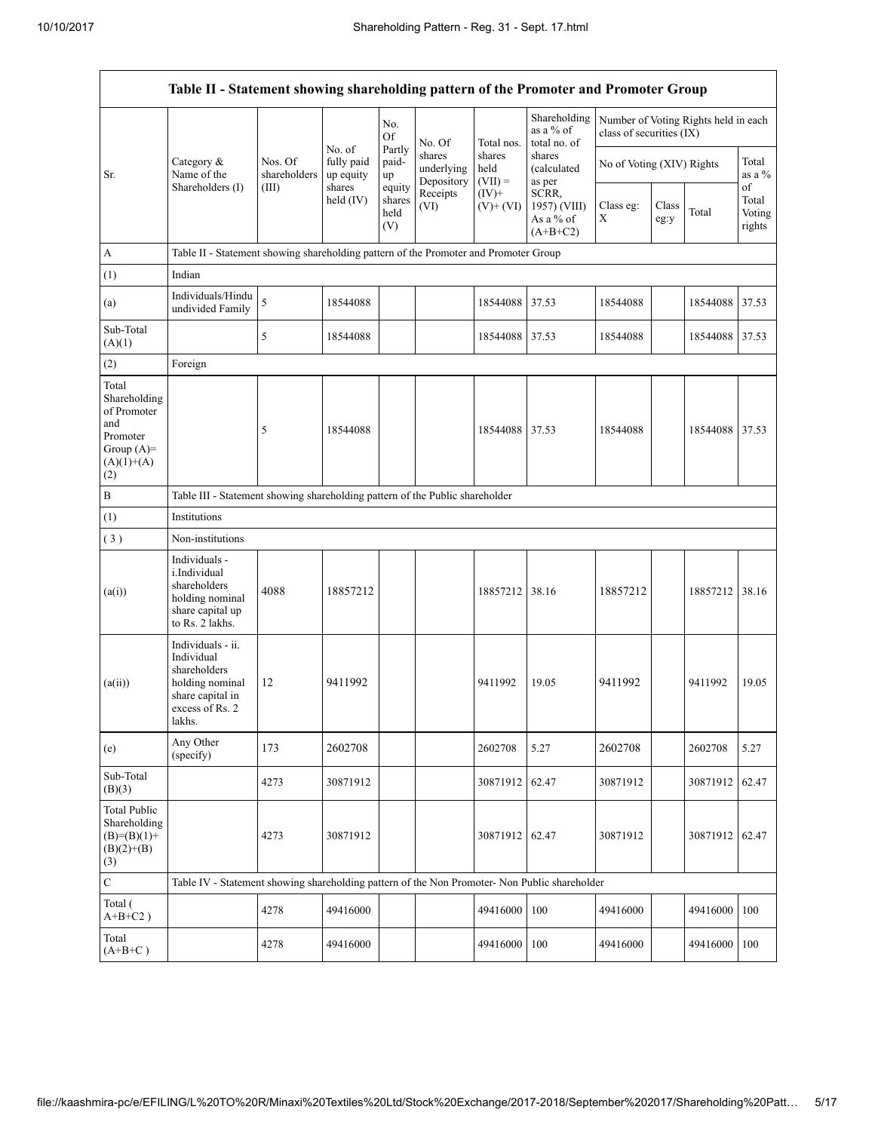|                                                                                                | Table II - Statement showing shareholding pattern of the Promoter and Promoter Group                                |                                                                                      |                                             |                            |                                    |                             |                                           |                                                                  |  |                |                       |
|------------------------------------------------------------------------------------------------|---------------------------------------------------------------------------------------------------------------------|--------------------------------------------------------------------------------------|---------------------------------------------|----------------------------|------------------------------------|-----------------------------|-------------------------------------------|------------------------------------------------------------------|--|----------------|-----------------------|
|                                                                                                |                                                                                                                     |                                                                                      | No. of<br>fully paid<br>up equity<br>shares | No.<br><b>Of</b><br>Partly | No. Of                             | Total nos.                  | Shareholding<br>as a % of<br>total no. of | Number of Voting Rights held in each<br>class of securities (IX) |  |                |                       |
| Sr.                                                                                            | Category $\&$<br>Name of the<br>Shareholders (I)                                                                    | Nos. Of<br>shareholders<br>(III)                                                     |                                             | paid-<br>up<br>equity      | shares<br>underlying<br>Depository | shares<br>held<br>$(VII) =$ | shares<br>(calculated<br>as per           | No of Voting (XIV) Rights                                        |  |                | Total<br>as a %<br>of |
|                                                                                                | Receipts<br>$(IV)+$<br>held $(IV)$<br>shares<br>$(V)$ + $(VI)$<br>(VI)<br>held<br>(V)                               | SCRR,<br>1957) (VIII)<br>As a % of<br>$(A+B+C2)$                                     | Class eg:<br>Χ                              | Class<br>eg:y              | Total                              | Total<br>Voting<br>rights   |                                           |                                                                  |  |                |                       |
| A                                                                                              |                                                                                                                     | Table II - Statement showing shareholding pattern of the Promoter and Promoter Group |                                             |                            |                                    |                             |                                           |                                                                  |  |                |                       |
| (1)                                                                                            | Indian                                                                                                              |                                                                                      |                                             |                            |                                    |                             |                                           |                                                                  |  |                |                       |
| (a)                                                                                            | Individuals/Hindu<br>undivided Family                                                                               | 5                                                                                    | 18544088                                    |                            |                                    | 18544088                    | 37.53                                     | 18544088                                                         |  | 18544088       | 37.53                 |
| Sub-Total<br>(A)(1)                                                                            |                                                                                                                     | 5                                                                                    | 18544088                                    |                            |                                    | 18544088 37.53              |                                           | 18544088                                                         |  | 18544088 37.53 |                       |
| (2)                                                                                            | Foreign                                                                                                             |                                                                                      |                                             |                            |                                    |                             |                                           |                                                                  |  |                |                       |
| Total<br>Shareholding<br>of Promoter<br>and<br>Promoter<br>Group $(A)=$<br>$(A)(1)+(A)$<br>(2) |                                                                                                                     | 5                                                                                    | 18544088                                    |                            |                                    | 18544088 37.53              |                                           | 18544088                                                         |  | 18544088 37.53 |                       |
| B                                                                                              |                                                                                                                     | Table III - Statement showing shareholding pattern of the Public shareholder         |                                             |                            |                                    |                             |                                           |                                                                  |  |                |                       |
| (1)                                                                                            | Institutions                                                                                                        |                                                                                      |                                             |                            |                                    |                             |                                           |                                                                  |  |                |                       |
| (3)                                                                                            | Non-institutions                                                                                                    |                                                                                      |                                             |                            |                                    |                             |                                           |                                                                  |  |                |                       |
| (a(i))                                                                                         | Individuals -<br><i>i.Individual</i><br>shareholders<br>holding nominal<br>share capital up<br>to Rs. 2 lakhs.      | 4088                                                                                 | 18857212                                    |                            |                                    | 18857212 38.16              |                                           | 18857212                                                         |  | 18857212       | 38.16                 |
| (a(ii))                                                                                        | Individuals - ii.<br>Individual<br>shareholders<br>holding nominal<br>share capital in<br>excess of Rs. 2<br>lakhs. | 12                                                                                   | 9411992                                     |                            |                                    | 9411992                     | 19.05                                     | 9411992                                                          |  | 9411992        | 19.05                 |
| (e)                                                                                            | Any Other<br>(specify)                                                                                              | 173                                                                                  | 2602708                                     |                            |                                    | 2602708                     | 5.27                                      | 2602708                                                          |  | 2602708        | 5.27                  |
| Sub-Total<br>(B)(3)                                                                            |                                                                                                                     | 4273                                                                                 | 30871912                                    |                            |                                    | 30871912                    | 62.47                                     | 30871912                                                         |  | 30871912       | 62.47                 |
| <b>Total Public</b><br>Shareholding<br>$(B)= (B)(1) +$<br>$(B)(2)+(B)$<br>(3)                  |                                                                                                                     | 4273                                                                                 | 30871912                                    |                            |                                    | 30871912 62.47              |                                           | 30871912                                                         |  | 30871912       | 62.47                 |
| $\mathbf C$                                                                                    | Table IV - Statement showing shareholding pattern of the Non Promoter- Non Public shareholder                       |                                                                                      |                                             |                            |                                    |                             |                                           |                                                                  |  |                |                       |
| Total (<br>$A+B+C2$ )                                                                          |                                                                                                                     | 4278                                                                                 | 49416000                                    |                            |                                    | 49416000                    | 100                                       | 49416000                                                         |  | 49416000       | 100                   |
| Total<br>$(A+B+C)$                                                                             |                                                                                                                     | 4278                                                                                 | 49416000                                    |                            |                                    | 49416000                    | 100                                       | 49416000                                                         |  | 49416000       | 100                   |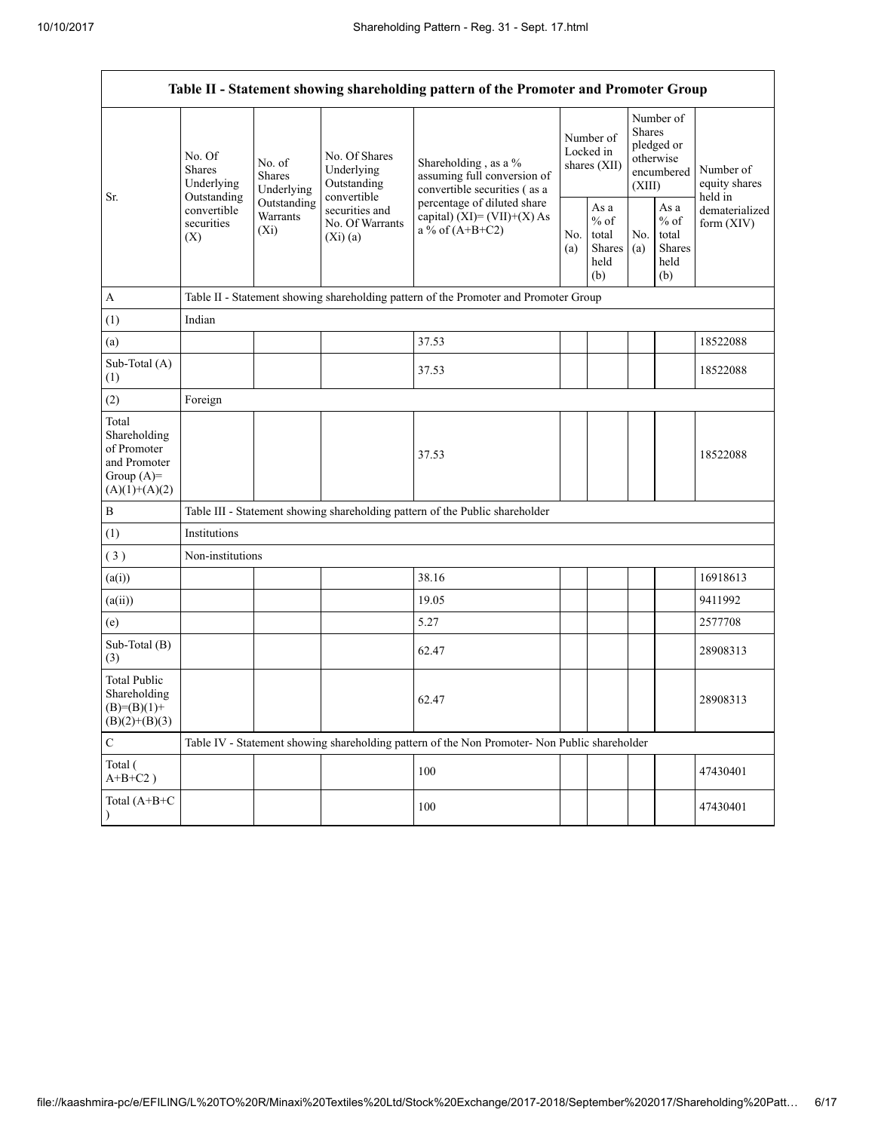|                                                                                         | Table II - Statement showing shareholding pattern of the Promoter and Promoter Group     |                                    |                                                                                                           |                                                                                                                                                                           |  |                                                  |            |                                                                               |                                       |
|-----------------------------------------------------------------------------------------|------------------------------------------------------------------------------------------|------------------------------------|-----------------------------------------------------------------------------------------------------------|---------------------------------------------------------------------------------------------------------------------------------------------------------------------------|--|--------------------------------------------------|------------|-------------------------------------------------------------------------------|---------------------------------------|
| Sr.                                                                                     | No. Of<br><b>Shares</b><br>Underlying<br>Outstanding<br>convertible<br>securities<br>(X) | No. of<br>Shares<br>Underlying     | No. Of Shares<br>Underlying<br>Outstanding<br>convertible<br>securities and<br>No. Of Warrants<br>(Xi)(a) | Shareholding, as a %<br>assuming full conversion of<br>convertible securities (as a<br>percentage of diluted share<br>capital) $(XI) = (VII)+(X) As$<br>a % of $(A+B+C2)$ |  | Number of<br>Locked in<br>shares $(XII)$         |            | Number of<br><b>Shares</b><br>pledged or<br>otherwise<br>encumbered<br>(XIII) | Number of<br>equity shares<br>held in |
|                                                                                         |                                                                                          | Outstanding<br>Warrants<br>$(X_i)$ |                                                                                                           |                                                                                                                                                                           |  | As a<br>$%$ of<br>total<br>Shares<br>held<br>(b) | No.<br>(a) | As a<br>$%$ of<br>total<br><b>Shares</b><br>held<br>(b)                       | dematerialized<br>form $(XIV)$        |
| $\mathbf{A}$                                                                            |                                                                                          |                                    |                                                                                                           | Table II - Statement showing shareholding pattern of the Promoter and Promoter Group                                                                                      |  |                                                  |            |                                                                               |                                       |
| (1)                                                                                     | Indian                                                                                   |                                    |                                                                                                           |                                                                                                                                                                           |  |                                                  |            |                                                                               |                                       |
| (a)                                                                                     |                                                                                          |                                    |                                                                                                           | 37.53                                                                                                                                                                     |  |                                                  |            |                                                                               | 18522088                              |
| Sub-Total (A)<br>(1)                                                                    |                                                                                          |                                    |                                                                                                           | 37.53                                                                                                                                                                     |  |                                                  |            |                                                                               | 18522088                              |
| (2)                                                                                     | Foreign                                                                                  |                                    |                                                                                                           |                                                                                                                                                                           |  |                                                  |            |                                                                               |                                       |
| Total<br>Shareholding<br>of Promoter<br>and Promoter<br>Group $(A)=$<br>$(A)(1)+(A)(2)$ |                                                                                          |                                    |                                                                                                           | 37.53                                                                                                                                                                     |  |                                                  |            |                                                                               | 18522088                              |
| $\, {\bf B}$                                                                            |                                                                                          |                                    |                                                                                                           | Table III - Statement showing shareholding pattern of the Public shareholder                                                                                              |  |                                                  |            |                                                                               |                                       |
| (1)                                                                                     | Institutions                                                                             |                                    |                                                                                                           |                                                                                                                                                                           |  |                                                  |            |                                                                               |                                       |
| (3)                                                                                     | Non-institutions                                                                         |                                    |                                                                                                           |                                                                                                                                                                           |  |                                                  |            |                                                                               |                                       |
| (a(i))                                                                                  |                                                                                          |                                    |                                                                                                           | 38.16                                                                                                                                                                     |  |                                                  |            |                                                                               | 16918613                              |
| (a(ii))                                                                                 |                                                                                          |                                    |                                                                                                           | 19.05                                                                                                                                                                     |  |                                                  |            |                                                                               | 9411992                               |
| (e)                                                                                     |                                                                                          |                                    |                                                                                                           | 5.27                                                                                                                                                                      |  |                                                  |            |                                                                               | 2577708                               |
| Sub-Total (B)<br>(3)                                                                    |                                                                                          |                                    |                                                                                                           | 62.47                                                                                                                                                                     |  |                                                  |            |                                                                               | 28908313                              |
| <b>Total Public</b><br>Shareholding<br>$(B)=(B)(1)+$<br>$(B)(2)+(B)(3)$                 |                                                                                          |                                    |                                                                                                           | 62.47                                                                                                                                                                     |  |                                                  |            |                                                                               | 28908313                              |
| $\mathbf C$                                                                             |                                                                                          |                                    |                                                                                                           | Table IV - Statement showing shareholding pattern of the Non Promoter- Non Public shareholder                                                                             |  |                                                  |            |                                                                               |                                       |
| Total (<br>$A+B+C2$ )                                                                   |                                                                                          |                                    |                                                                                                           | 100                                                                                                                                                                       |  |                                                  |            |                                                                               | 47430401                              |
| Total (A+B+C<br>$\lambda$                                                               |                                                                                          |                                    |                                                                                                           | 100                                                                                                                                                                       |  |                                                  |            |                                                                               | 47430401                              |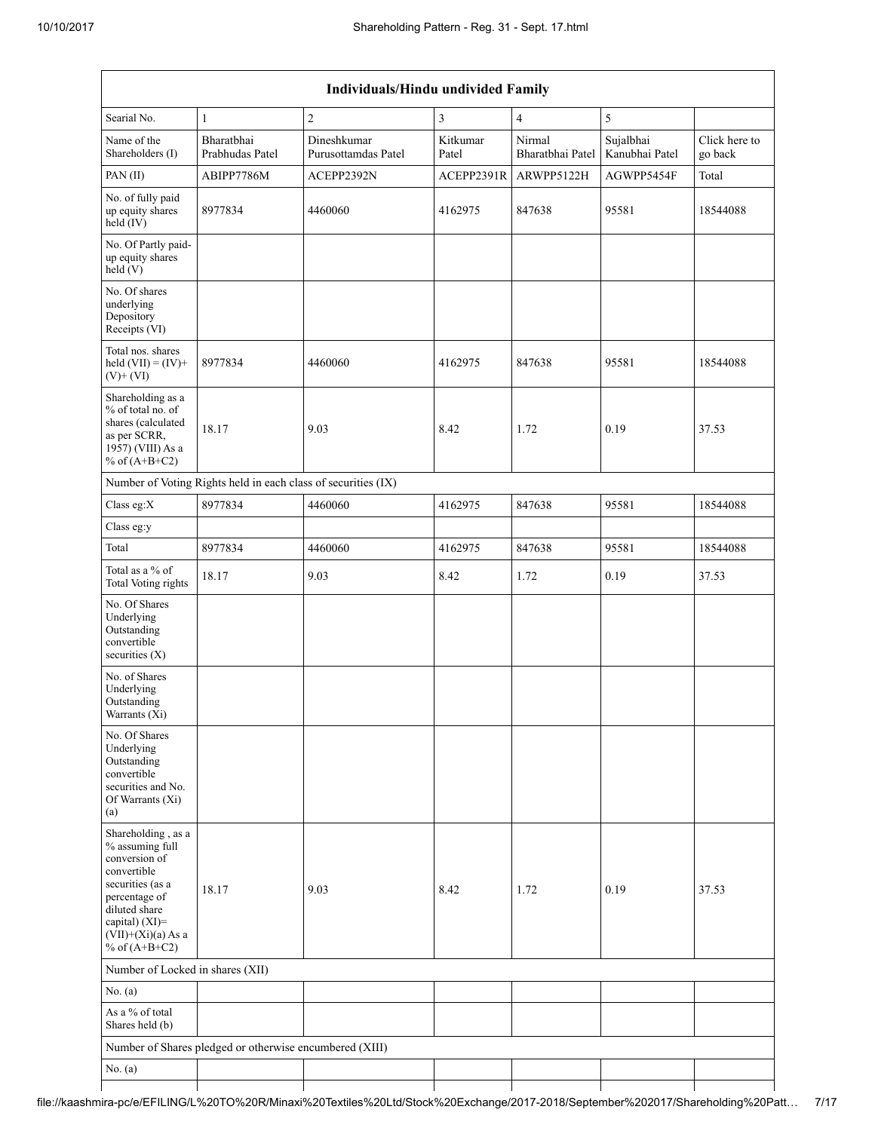| Individuals/Hindu undivided Family                                                                                                                                                       |                                                               |                                    |                   |                            |                             |                          |  |  |
|------------------------------------------------------------------------------------------------------------------------------------------------------------------------------------------|---------------------------------------------------------------|------------------------------------|-------------------|----------------------------|-----------------------------|--------------------------|--|--|
| Searial No.                                                                                                                                                                              | 1                                                             | $\overline{2}$                     | 3                 | $\overline{4}$             | 5                           |                          |  |  |
| Name of the<br>Shareholders (I)                                                                                                                                                          | Bharatbhai<br>Prabhudas Patel                                 | Dineshkumar<br>Purusottamdas Patel | Kitkumar<br>Patel | Nirmal<br>Bharatbhai Patel | Sujalbhai<br>Kanubhai Patel | Click here to<br>go back |  |  |
| PAN(II)                                                                                                                                                                                  | ABIPP7786M                                                    | ACEPP2392N                         | ACEPP2391R        | ARWPP5122H                 | AGWPP5454F                  | Total                    |  |  |
| No. of fully paid<br>up equity shares<br>held (IV)                                                                                                                                       | 8977834                                                       | 4460060                            | 4162975           | 847638                     | 95581                       | 18544088                 |  |  |
| No. Of Partly paid-<br>up equity shares<br>held(V)                                                                                                                                       |                                                               |                                    |                   |                            |                             |                          |  |  |
| No. Of shares<br>underlying<br>Depository<br>Receipts (VI)                                                                                                                               |                                                               |                                    |                   |                            |                             |                          |  |  |
| Total nos. shares<br>held $(VII) = (IV) +$<br>$(V)$ + $(VI)$                                                                                                                             | 8977834                                                       | 4460060                            | 4162975           | 847638                     | 95581                       | 18544088                 |  |  |
| Shareholding as a<br>% of total no. of<br>shares (calculated<br>as per SCRR,<br>1957) (VIII) As a<br>% of $(A+B+C2)$                                                                     | 18.17                                                         | 9.03                               | 8.42              | 1.72                       | 0.19                        | 37.53                    |  |  |
|                                                                                                                                                                                          | Number of Voting Rights held in each class of securities (IX) |                                    |                   |                            |                             |                          |  |  |
| Class eg:X                                                                                                                                                                               | 8977834                                                       | 4460060                            | 4162975           | 847638                     | 95581                       | 18544088                 |  |  |
| Class eg:y                                                                                                                                                                               |                                                               |                                    |                   |                            |                             |                          |  |  |
| Total                                                                                                                                                                                    | 8977834                                                       | 4460060                            | 4162975           | 847638                     | 95581                       | 18544088                 |  |  |
| Total as a % of<br><b>Total Voting rights</b>                                                                                                                                            | 18.17                                                         | 9.03                               | 8.42              | 1.72                       | 0.19                        | 37.53                    |  |  |
| No. Of Shares<br>Underlying<br>Outstanding<br>convertible<br>securities $(X)$                                                                                                            |                                                               |                                    |                   |                            |                             |                          |  |  |
| No. of Shares<br>Underlying<br>Outstanding<br>Warrants (Xi)                                                                                                                              |                                                               |                                    |                   |                            |                             |                          |  |  |
| No. Of Shares<br>Underlying<br>Outstanding<br>convertible<br>securities and No.<br>Of Warrants (Xi)<br>(a)                                                                               |                                                               |                                    |                   |                            |                             |                          |  |  |
| Shareholding, as a<br>% assuming full<br>conversion of<br>convertible<br>securities (as a<br>percentage of<br>diluted share<br>capital) (XI)=<br>$(VII)+(Xi)(a)$ As a<br>% of $(A+B+C2)$ | 18.17                                                         | 9.03                               | 8.42              | 1.72                       | 0.19                        | 37.53                    |  |  |
| Number of Locked in shares (XII)                                                                                                                                                         |                                                               |                                    |                   |                            |                             |                          |  |  |
| No. (a)                                                                                                                                                                                  |                                                               |                                    |                   |                            |                             |                          |  |  |
| As a % of total<br>Shares held (b)                                                                                                                                                       |                                                               |                                    |                   |                            |                             |                          |  |  |
|                                                                                                                                                                                          | Number of Shares pledged or otherwise encumbered (XIII)       |                                    |                   |                            |                             |                          |  |  |
| No. (a)                                                                                                                                                                                  |                                                               |                                    |                   |                            |                             |                          |  |  |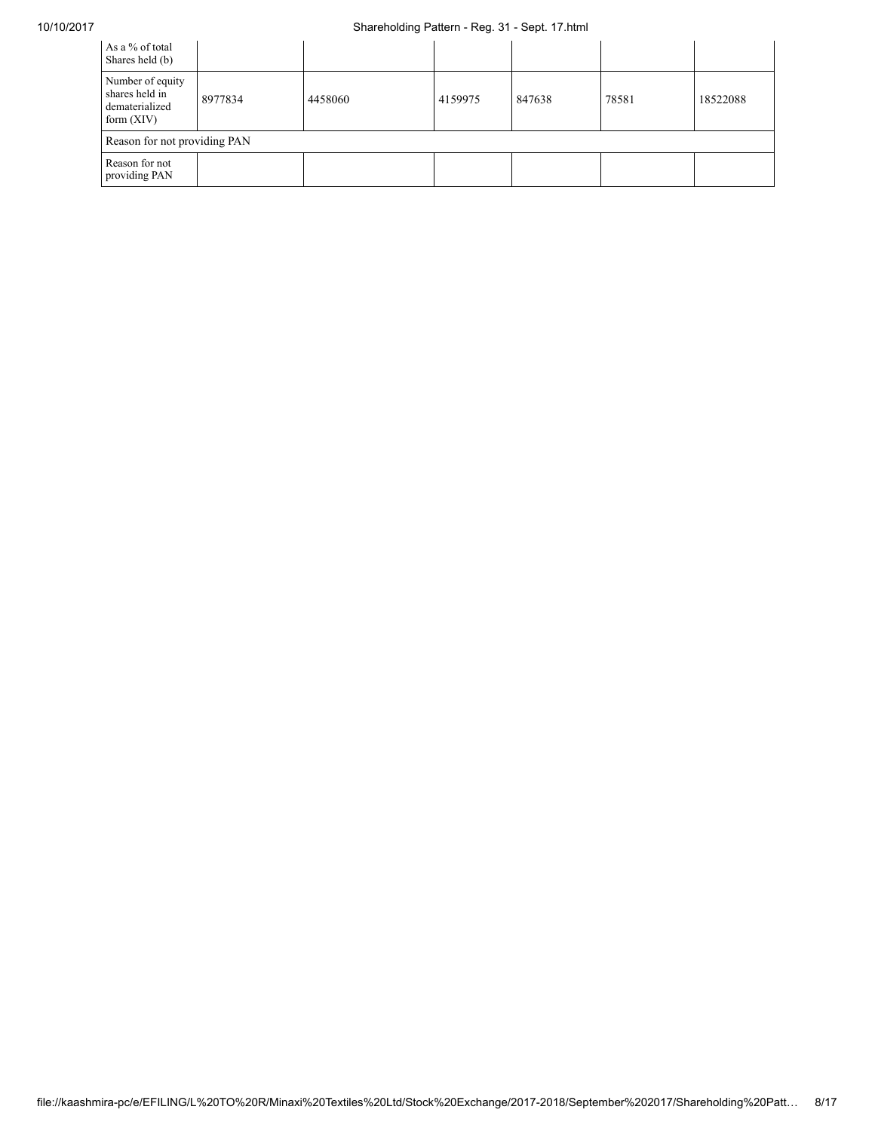## 10/10/2017 Shareholding Pattern - Reg. 31 - Sept. 17.html

| As a % of total<br>Shares held (b)                                   |                              |         |         |        |       |          |  |  |
|----------------------------------------------------------------------|------------------------------|---------|---------|--------|-------|----------|--|--|
| Number of equity<br>shares held in<br>dematerialized<br>form $(XIV)$ | 8977834                      | 4458060 | 4159975 | 847638 | 78581 | 18522088 |  |  |
|                                                                      | Reason for not providing PAN |         |         |        |       |          |  |  |
| Reason for not<br>providing PAN                                      |                              |         |         |        |       |          |  |  |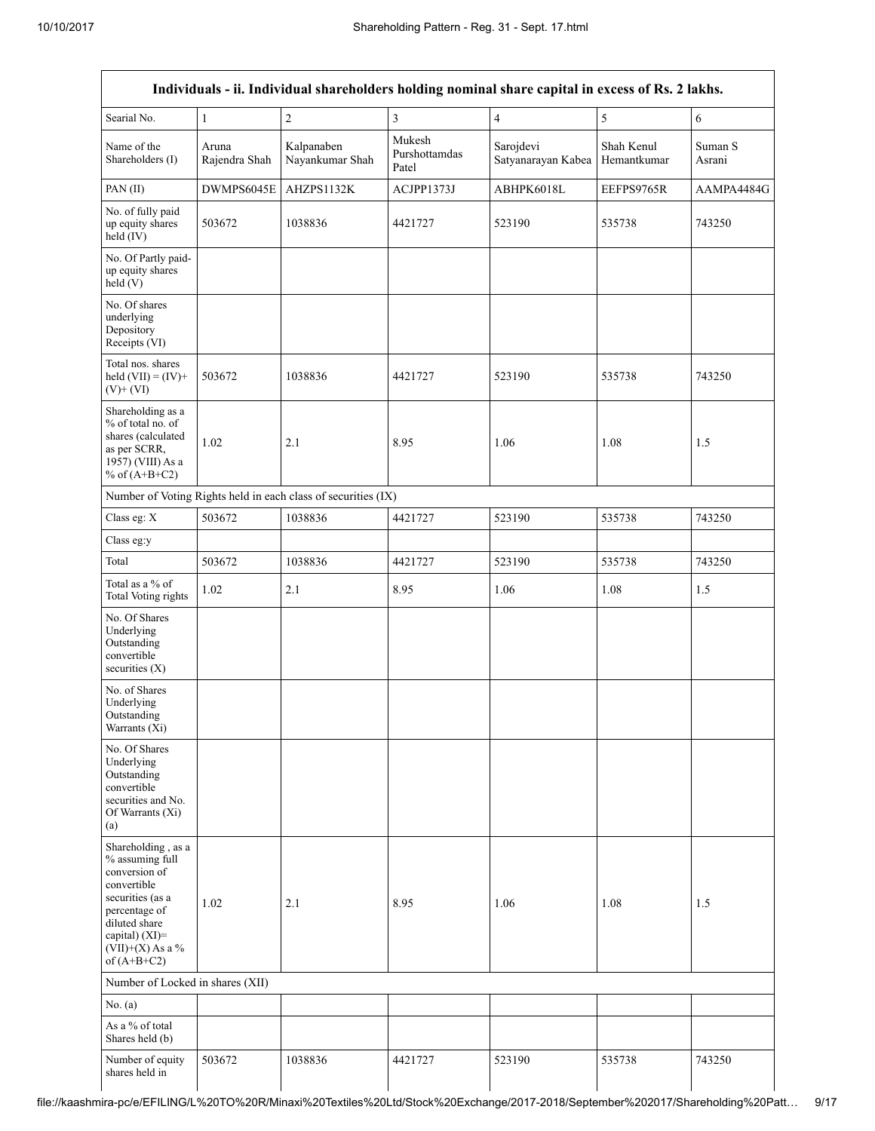|                                                                                                                                                                                      |                        |                                                               |                                  | Individuals - ii. Individual shareholders holding nominal share capital in excess of Rs. 2 lakhs. |                           |                   |
|--------------------------------------------------------------------------------------------------------------------------------------------------------------------------------------|------------------------|---------------------------------------------------------------|----------------------------------|---------------------------------------------------------------------------------------------------|---------------------------|-------------------|
| Searial No.                                                                                                                                                                          | 1                      | $\sqrt{2}$                                                    | $\overline{\mathbf{3}}$          | $\overline{4}$                                                                                    | 5                         | $\sqrt{6}$        |
| Name of the<br>Shareholders (I)                                                                                                                                                      | Aruna<br>Rajendra Shah | Kalpanaben<br>Nayankumar Shah                                 | Mukesh<br>Purshottamdas<br>Patel | Sarojdevi<br>Satyanarayan Kabea                                                                   | Shah Kenul<br>Hemantkumar | Suman S<br>Asrani |
| PAN (II)                                                                                                                                                                             | DWMPS6045E             | AHZPS1132K                                                    | ACJPP1373J                       | ABHPK6018L                                                                                        | EEFPS9765R                | AAMPA4484G        |
| No. of fully paid<br>up equity shares<br>held (IV)                                                                                                                                   | 503672                 | 1038836                                                       | 4421727                          | 523190                                                                                            | 535738                    | 743250            |
| No. Of Partly paid-<br>up equity shares<br>held(V)                                                                                                                                   |                        |                                                               |                                  |                                                                                                   |                           |                   |
| No. Of shares<br>underlying<br>Depository<br>Receipts (VI)                                                                                                                           |                        |                                                               |                                  |                                                                                                   |                           |                   |
| Total nos. shares<br>held $(VII) = (IV) +$<br>$(V)$ + $(VI)$                                                                                                                         | 503672                 | 1038836                                                       | 4421727                          | 523190                                                                                            | 535738                    | 743250            |
| Shareholding as a<br>% of total no. of<br>shares (calculated<br>as per SCRR,<br>1957) (VIII) As a<br>% of $(A+B+C2)$                                                                 | 1.02                   | 2.1                                                           | 8.95                             | 1.06                                                                                              | 1.08                      | 1.5               |
|                                                                                                                                                                                      |                        | Number of Voting Rights held in each class of securities (IX) |                                  |                                                                                                   |                           |                   |
| Class eg: X                                                                                                                                                                          | 503672                 | 1038836                                                       | 4421727                          | 523190                                                                                            | 535738                    | 743250            |
| Class eg:y                                                                                                                                                                           |                        |                                                               |                                  |                                                                                                   |                           |                   |
| Total                                                                                                                                                                                | 503672                 | 1038836                                                       | 4421727                          | 523190                                                                                            | 535738                    | 743250            |
| Total as a % of<br>Total Voting rights                                                                                                                                               | 1.02                   | 2.1                                                           | 8.95                             | 1.06                                                                                              | 1.08                      | 1.5               |
| No. Of Shares<br>Underlying<br>Outstanding<br>convertible<br>securities $(X)$                                                                                                        |                        |                                                               |                                  |                                                                                                   |                           |                   |
| No. of Shares<br>Underlying<br>Outstanding<br>Warrants (Xi)                                                                                                                          |                        |                                                               |                                  |                                                                                                   |                           |                   |
| No. Of Shares<br>Underlying<br>Outstanding<br>convertible<br>securities and No.<br>Of Warrants (Xi)<br>(a)                                                                           |                        |                                                               |                                  |                                                                                                   |                           |                   |
| Shareholding, as a<br>% assuming full<br>conversion of<br>convertible<br>securities (as a<br>percentage of<br>diluted share<br>capital) (XI)=<br>$(VII)+(X)$ As a %<br>of $(A+B+C2)$ | 1.02                   | 2.1                                                           | 8.95                             | 1.06                                                                                              | 1.08                      | 1.5               |
| Number of Locked in shares (XII)                                                                                                                                                     |                        |                                                               |                                  |                                                                                                   |                           |                   |
| No. (a)                                                                                                                                                                              |                        |                                                               |                                  |                                                                                                   |                           |                   |
| As a % of total<br>Shares held (b)                                                                                                                                                   |                        |                                                               |                                  |                                                                                                   |                           |                   |
| Number of equity<br>shares held in                                                                                                                                                   | 503672                 | 1038836                                                       | 4421727                          | 523190                                                                                            | 535738                    | 743250            |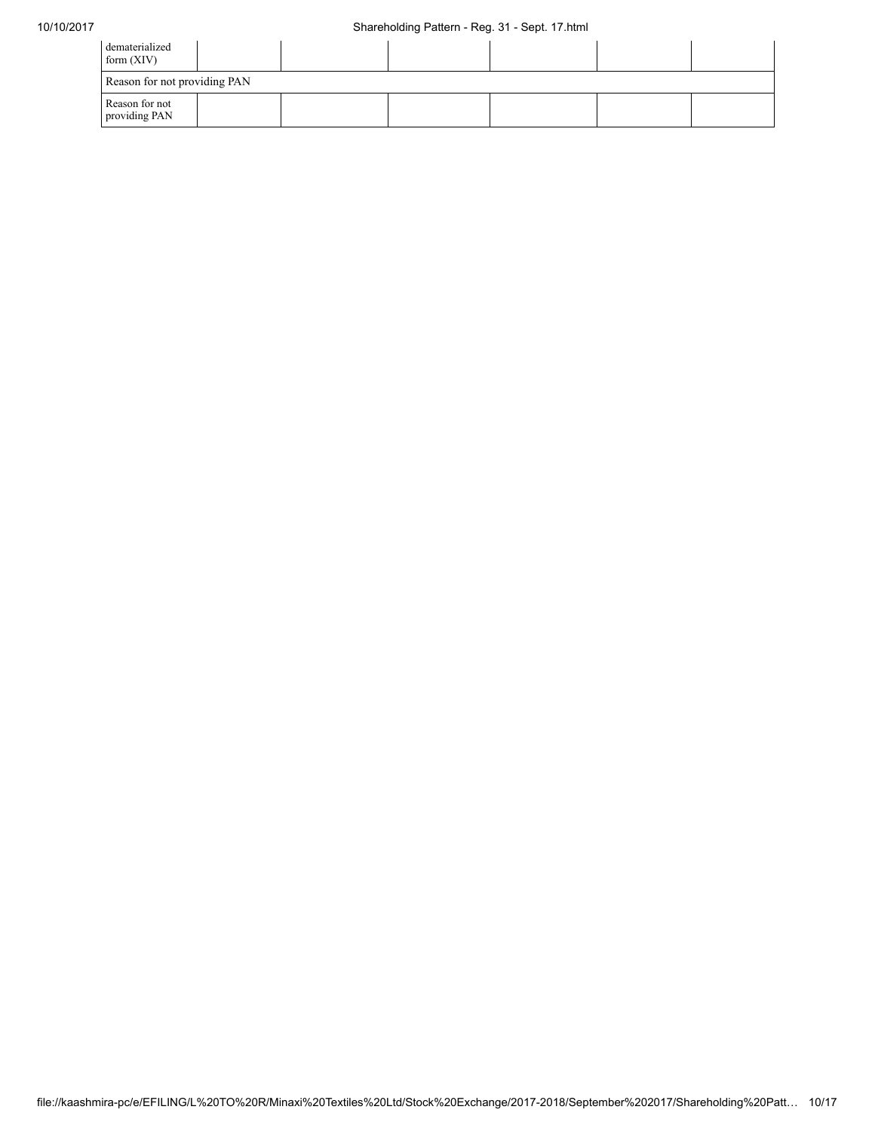| dematerialized<br>form $(XIV)$  |  |  |  |
|---------------------------------|--|--|--|
| Reason for not providing PAN    |  |  |  |
| Reason for not<br>providing PAN |  |  |  |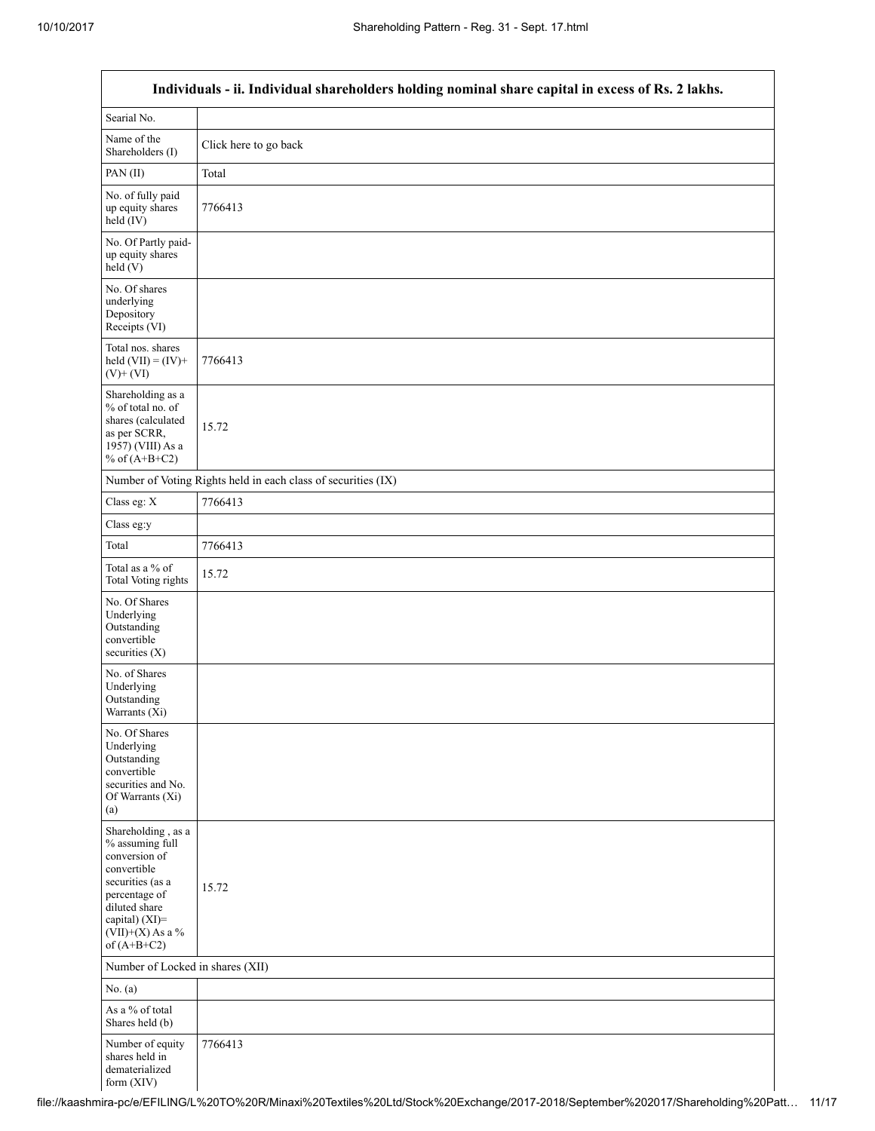Г

 $\overline{\phantom{0}}$ 

| Individuals - ii. Individual shareholders holding nominal share capital in excess of Rs. 2 lakhs.                                                                                    |                                                               |  |  |  |  |  |  |
|--------------------------------------------------------------------------------------------------------------------------------------------------------------------------------------|---------------------------------------------------------------|--|--|--|--|--|--|
| Searial No.                                                                                                                                                                          |                                                               |  |  |  |  |  |  |
| Name of the<br>Shareholders (I)                                                                                                                                                      | Click here to go back                                         |  |  |  |  |  |  |
| PAN(II)                                                                                                                                                                              | Total                                                         |  |  |  |  |  |  |
| No. of fully paid<br>up equity shares<br>$\text{held} (IV)$                                                                                                                          | 7766413                                                       |  |  |  |  |  |  |
| No. Of Partly paid-<br>up equity shares<br>held(V)                                                                                                                                   |                                                               |  |  |  |  |  |  |
| No. Of shares<br>underlying<br>Depository<br>Receipts (VI)                                                                                                                           |                                                               |  |  |  |  |  |  |
| Total nos. shares<br>held $(VII) = (IV) +$<br>$(V)$ + $(VI)$                                                                                                                         | 7766413                                                       |  |  |  |  |  |  |
| Shareholding as a<br>% of total no. of<br>shares (calculated<br>as per SCRR,<br>1957) (VIII) As a<br>% of $(A+B+C2)$                                                                 | 15.72                                                         |  |  |  |  |  |  |
|                                                                                                                                                                                      | Number of Voting Rights held in each class of securities (IX) |  |  |  |  |  |  |
| Class eg: X                                                                                                                                                                          | 7766413                                                       |  |  |  |  |  |  |
| Class eg:y                                                                                                                                                                           |                                                               |  |  |  |  |  |  |
| Total                                                                                                                                                                                | 7766413                                                       |  |  |  |  |  |  |
| Total as a % of<br><b>Total Voting rights</b>                                                                                                                                        | 15.72                                                         |  |  |  |  |  |  |
| No. Of Shares<br>Underlying<br>Outstanding<br>convertible<br>securities (X)                                                                                                          |                                                               |  |  |  |  |  |  |
| No. of Shares<br>Underlying<br>Outstanding<br>Warrants (Xi)                                                                                                                          |                                                               |  |  |  |  |  |  |
| No. Of Shares<br>Underlying<br>Outstanding<br>convertible<br>securities and No.<br>Of Warrants (Xi)<br>(a)                                                                           |                                                               |  |  |  |  |  |  |
| Shareholding, as a<br>% assuming full<br>conversion of<br>convertible<br>securities (as a<br>percentage of<br>diluted share<br>capital) (XI)=<br>$(VII)+(X)$ As a %<br>of $(A+B+C2)$ | 15.72                                                         |  |  |  |  |  |  |
| Number of Locked in shares (XII)                                                                                                                                                     |                                                               |  |  |  |  |  |  |
| No. (a)                                                                                                                                                                              |                                                               |  |  |  |  |  |  |
| As a % of total<br>Shares held (b)                                                                                                                                                   |                                                               |  |  |  |  |  |  |
| Number of equity<br>shares held in<br>dematerialized<br>form (XIV)                                                                                                                   | 7766413                                                       |  |  |  |  |  |  |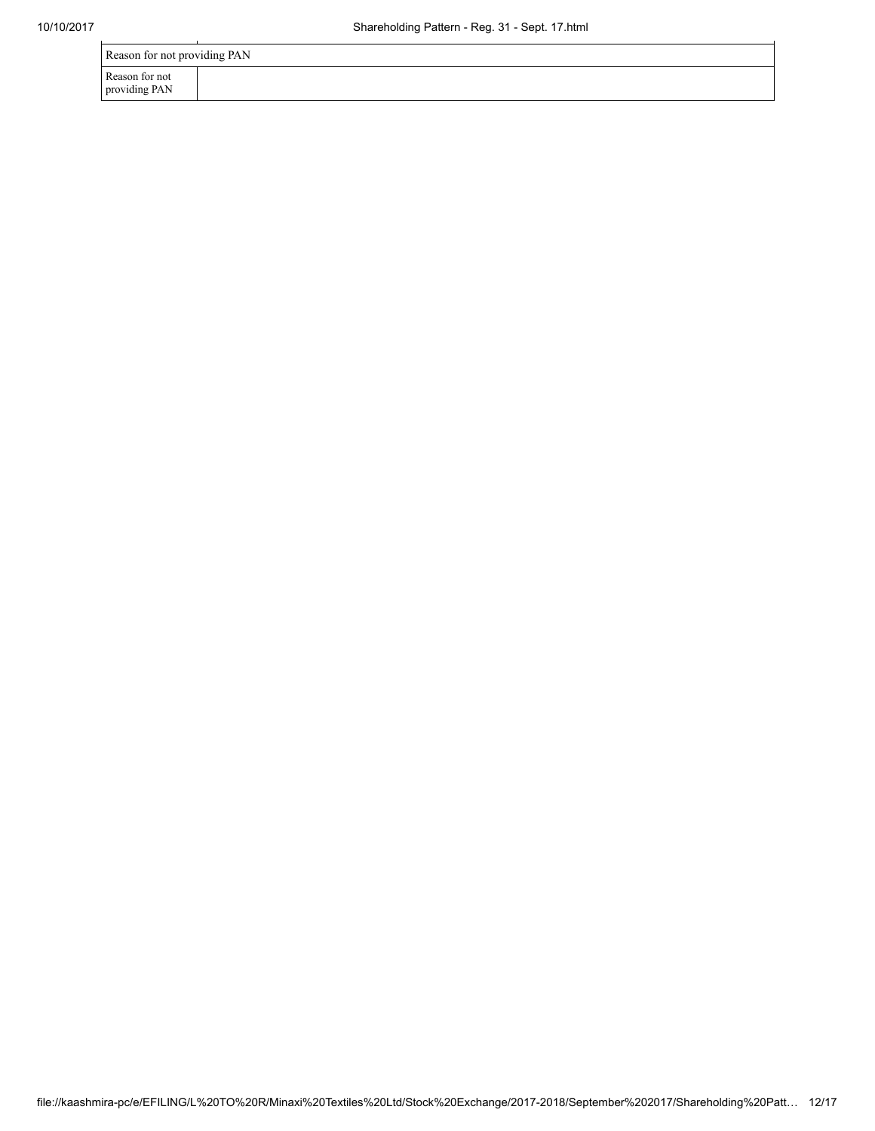| Reason for not providing PAN    |  |  |  |  |  |
|---------------------------------|--|--|--|--|--|
| Reason for not<br>providing PAN |  |  |  |  |  |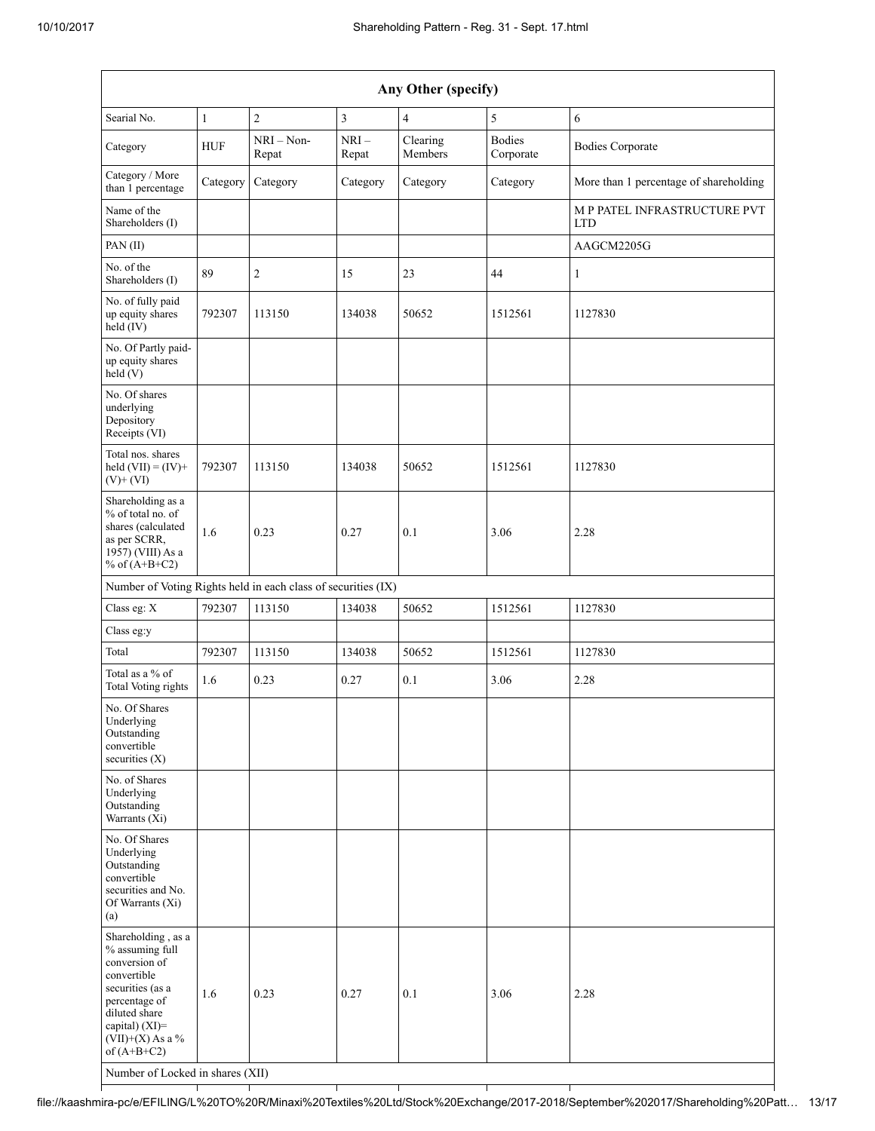| Any Other (specify)                                                                                                                                                                  |              |                       |                         |                     |                            |                                            |
|--------------------------------------------------------------------------------------------------------------------------------------------------------------------------------------|--------------|-----------------------|-------------------------|---------------------|----------------------------|--------------------------------------------|
| Searial No.                                                                                                                                                                          | $\mathbf{1}$ | $\overline{c}$        | $\overline{\mathbf{3}}$ | $\overline{4}$      | 5                          | 6                                          |
| Category                                                                                                                                                                             | <b>HUF</b>   | $NRI - Non-$<br>Repat | $NRI-$<br>Repat         | Clearing<br>Members | <b>Bodies</b><br>Corporate | <b>Bodies Corporate</b>                    |
| Category / More<br>than 1 percentage                                                                                                                                                 | Category     | Category              | Category                | Category            | Category                   | More than 1 percentage of shareholding     |
| Name of the<br>Shareholders (I)                                                                                                                                                      |              |                       |                         |                     |                            | M P PATEL INFRASTRUCTURE PVT<br><b>LTD</b> |
| PAN(II)                                                                                                                                                                              |              |                       |                         |                     |                            | AAGCM2205G                                 |
| No. of the<br>Shareholders (I)                                                                                                                                                       | 89           | $\overline{c}$        | 15                      | 23                  | 44                         | $\mathbf{1}$                               |
| No. of fully paid<br>up equity shares<br>held (IV)                                                                                                                                   | 792307       | 113150                | 134038                  | 50652               | 1512561                    | 1127830                                    |
| No. Of Partly paid-<br>up equity shares<br>held(V)                                                                                                                                   |              |                       |                         |                     |                            |                                            |
| No. Of shares<br>underlying<br>Depository<br>Receipts (VI)                                                                                                                           |              |                       |                         |                     |                            |                                            |
| Total nos. shares<br>held $(VII) = (IV) +$<br>$(V)$ + $(VI)$                                                                                                                         | 792307       | 113150                | 134038                  | 50652               | 1512561                    | 1127830                                    |
| Shareholding as a<br>% of total no. of<br>shares (calculated<br>as per SCRR,<br>1957) (VIII) As a<br>% of $(A+B+C2)$                                                                 | 1.6          | 0.23                  | 0.27                    | 0.1                 | 3.06                       | 2.28                                       |
| Number of Voting Rights held in each class of securities (IX)                                                                                                                        |              |                       |                         |                     |                            |                                            |
| Class eg: X                                                                                                                                                                          | 792307       | 113150                | 134038                  | 50652               | 1512561                    | 1127830                                    |
| Class eg:y                                                                                                                                                                           |              |                       |                         |                     |                            |                                            |
| Total                                                                                                                                                                                | 792307       | 113150                | 134038                  | 50652               | 1512561                    | 1127830                                    |
| Total as a % of<br>Total Voting rights                                                                                                                                               | 1.6          | 0.23                  | 0.27                    | 0.1                 | 3.06                       | 2.28                                       |
| No. Of Shares<br>Underlying<br>Outstanding<br>convertible<br>securities (X)                                                                                                          |              |                       |                         |                     |                            |                                            |
| No. of Shares<br>Underlying<br>Outstanding<br>Warrants $(Xi)$                                                                                                                        |              |                       |                         |                     |                            |                                            |
| No. Of Shares<br>Underlying<br>Outstanding<br>convertible<br>securities and No.<br>Of Warrants (Xi)<br>(a)                                                                           |              |                       |                         |                     |                            |                                            |
| Shareholding, as a<br>% assuming full<br>conversion of<br>convertible<br>securities (as a<br>percentage of<br>diluted share<br>capital) (XI)=<br>$(VII)+(X)$ As a %<br>of $(A+B+C2)$ | 1.6          | 0.23                  | 0.27                    | 0.1                 | 3.06                       | 2.28                                       |

Number of Locked in shares (XII)

file://kaashmira-pc/e/EFILING/L%20TO%20R/Minaxi%20Textiles%20Ltd/Stock%20Exchange/2017-2018/September%202017/Shareholding%20Patt… 13/17

Τ

┯

T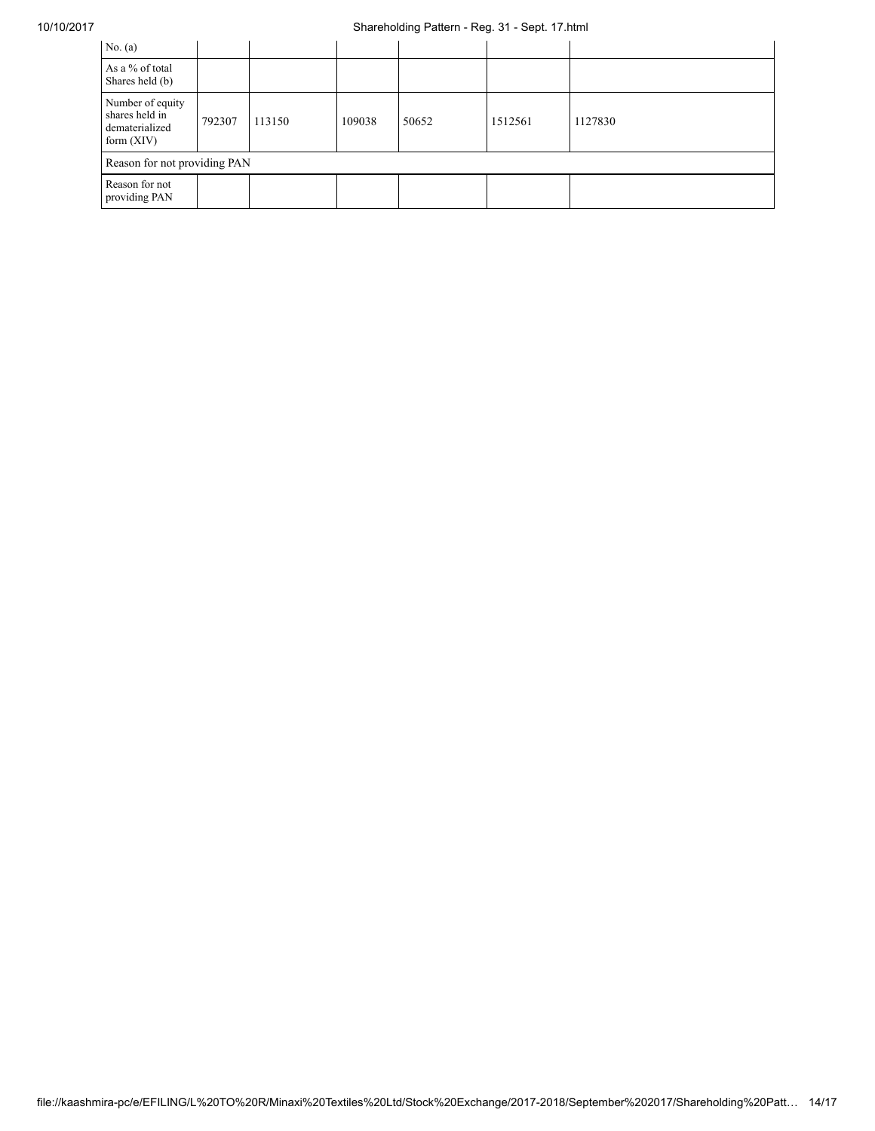## 10/10/2017 Shareholding Pattern - Reg. 31 - Sept. 17.html

| No. $(a)$                                                            |        |        |        |       |         |         |
|----------------------------------------------------------------------|--------|--------|--------|-------|---------|---------|
| As a % of total<br>Shares held (b)                                   |        |        |        |       |         |         |
| Number of equity<br>shares held in<br>dematerialized<br>form $(XIV)$ | 792307 | 113150 | 109038 | 50652 | 1512561 | 1127830 |
| Reason for not providing PAN                                         |        |        |        |       |         |         |
| Reason for not<br>providing PAN                                      |        |        |        |       |         |         |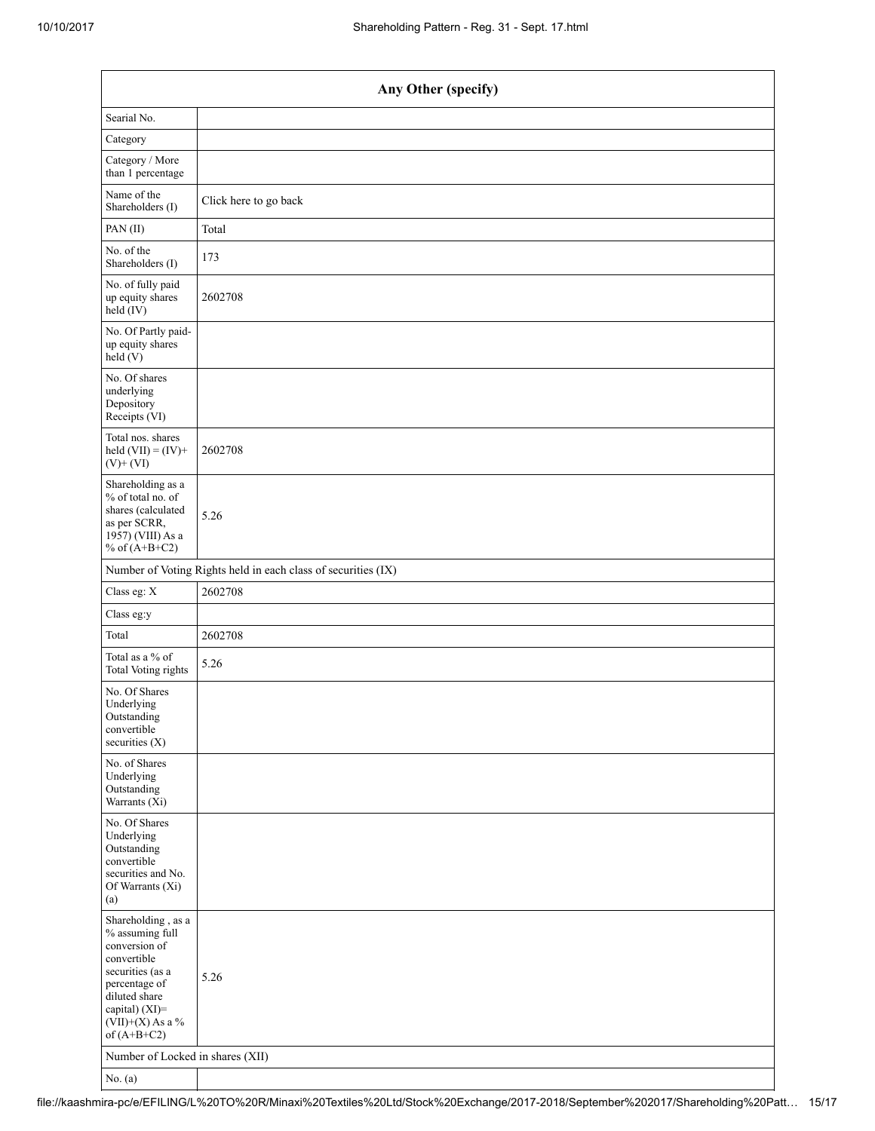| Any Other (specify)                                                                                                                                                                  |                                                               |  |  |  |  |  |  |  |
|--------------------------------------------------------------------------------------------------------------------------------------------------------------------------------------|---------------------------------------------------------------|--|--|--|--|--|--|--|
| Searial No.                                                                                                                                                                          |                                                               |  |  |  |  |  |  |  |
| Category                                                                                                                                                                             |                                                               |  |  |  |  |  |  |  |
| Category / More<br>than 1 percentage                                                                                                                                                 |                                                               |  |  |  |  |  |  |  |
| Name of the<br>Shareholders (I)                                                                                                                                                      | Click here to go back                                         |  |  |  |  |  |  |  |
| PAN(II)                                                                                                                                                                              | Total                                                         |  |  |  |  |  |  |  |
| No. of the<br>Shareholders (I)                                                                                                                                                       | 173                                                           |  |  |  |  |  |  |  |
| No. of fully paid<br>up equity shares<br>$\text{held}(\text{IV})$                                                                                                                    | 2602708                                                       |  |  |  |  |  |  |  |
| No. Of Partly paid-<br>up equity shares<br>held(V)                                                                                                                                   |                                                               |  |  |  |  |  |  |  |
| No. Of shares<br>underlying<br>Depository<br>Receipts (VI)                                                                                                                           |                                                               |  |  |  |  |  |  |  |
| Total nos. shares<br>held $(VII) = (IV) +$<br>$(V)$ + $(VI)$                                                                                                                         | 2602708                                                       |  |  |  |  |  |  |  |
| Shareholding as a<br>% of total no. of<br>shares (calculated<br>as per SCRR,<br>1957) (VIII) As a<br>% of $(A+B+C2)$                                                                 | 5.26                                                          |  |  |  |  |  |  |  |
|                                                                                                                                                                                      | Number of Voting Rights held in each class of securities (IX) |  |  |  |  |  |  |  |
| Class eg: X                                                                                                                                                                          | 2602708                                                       |  |  |  |  |  |  |  |
| Class eg:y                                                                                                                                                                           |                                                               |  |  |  |  |  |  |  |
| Total                                                                                                                                                                                | 2602708                                                       |  |  |  |  |  |  |  |
| Total as a % of<br><b>Total Voting rights</b>                                                                                                                                        | 5.26                                                          |  |  |  |  |  |  |  |
| No. Of Shares<br>Underlying<br>Outstanding<br>convertible<br>securities $(X)$                                                                                                        |                                                               |  |  |  |  |  |  |  |
| No. of Shares<br>Underlying<br>Outstanding<br>Warrants (Xi)                                                                                                                          |                                                               |  |  |  |  |  |  |  |
| No. Of Shares<br>Underlying<br>Outstanding<br>convertible<br>securities and No.<br>Of Warrants (Xi)<br>(a)                                                                           |                                                               |  |  |  |  |  |  |  |
| Shareholding, as a<br>% assuming full<br>conversion of<br>convertible<br>securities (as a<br>percentage of<br>diluted share<br>capital) (XI)=<br>$(VII)+(X)$ As a %<br>of $(A+B+C2)$ | 5.26                                                          |  |  |  |  |  |  |  |
| Number of Locked in shares (XII)                                                                                                                                                     |                                                               |  |  |  |  |  |  |  |
| No. $(a)$                                                                                                                                                                            |                                                               |  |  |  |  |  |  |  |

file://kaashmira-pc/e/EFILING/L%20TO%20R/Minaxi%20Textiles%20Ltd/Stock%20Exchange/2017-2018/September%202017/Shareholding%20Patt… 15/17